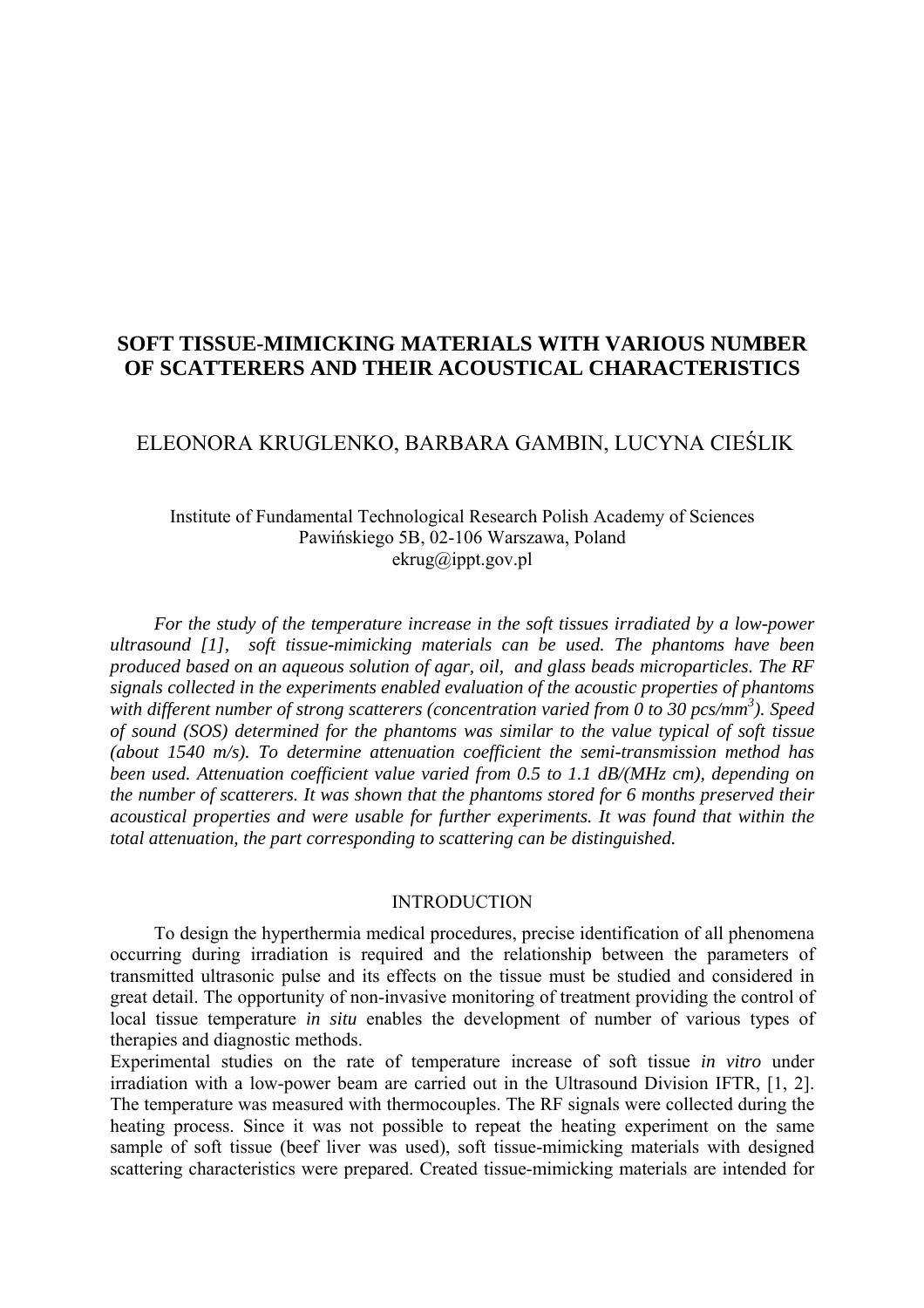## **SOFT TISSUE-MIMICKING MATERIALS WITH VARIOUS NUMBER OF SCATTERERS AND THEIR ACOUSTICAL CHARACTERISTICS**

# ELEONORA KRUGLENKO, BARBARA GAMBIN, LUCYNA CIEŚLIK

### Institute of Fundamental Technological Research Polish Academy of Sciences Pawińskiego 5B, 02-106 Warszawa, Poland ekrug@ippt.gov.pl

*For the study of the temperature increase in the soft tissues irradiated by a low-power ultrasound [1], soft tissue-mimicking materials can be used. The phantoms have been produced based on an aqueous solution of agar, oil, and glass beads microparticles. The RF signals collected in the experiments enabled evaluation of the acoustic properties of phantoms with different number of strong scatterers (concentration varied from 0 to 30 pcs/mm<sup>3</sup> ). Speed of sound (SOS) determined for the phantoms was similar to the value typical of soft tissue (about 1540 m/s). To determine attenuation coefficient the semi-transmission method has been used. Attenuation coefficient value varied from 0.5 to 1.1 dB/(MHz cm), depending on the number of scatterers. It was shown that the phantoms stored for 6 months preserved their acoustical properties and were usable for further experiments. It was found that within the total attenuation, the part corresponding to scattering can be distinguished.* 

#### INTRODUCTION

To design the hyperthermia medical procedures, precise identification of all phenomena occurring during irradiation is required and the relationship between the parameters of transmitted ultrasonic pulse and its effects on the tissue must be studied and considered in great detail. The opportunity of non-invasive monitoring of treatment providing the control of local tissue temperature *in situ* enables the development of number of various types of therapies and diagnostic methods.

Experimental studies on the rate of temperature increase of soft tissue *in vitro* under irradiation with a low-power beam are carried out in the Ultrasound Division IFTR, [1, 2]. The temperature was measured with thermocouples. The RF signals were collected during the heating process. Since it was not possible to repeat the heating experiment on the same sample of soft tissue (beef liver was used), soft tissue-mimicking materials with designed scattering characteristics were prepared. Created tissue-mimicking materials are intended for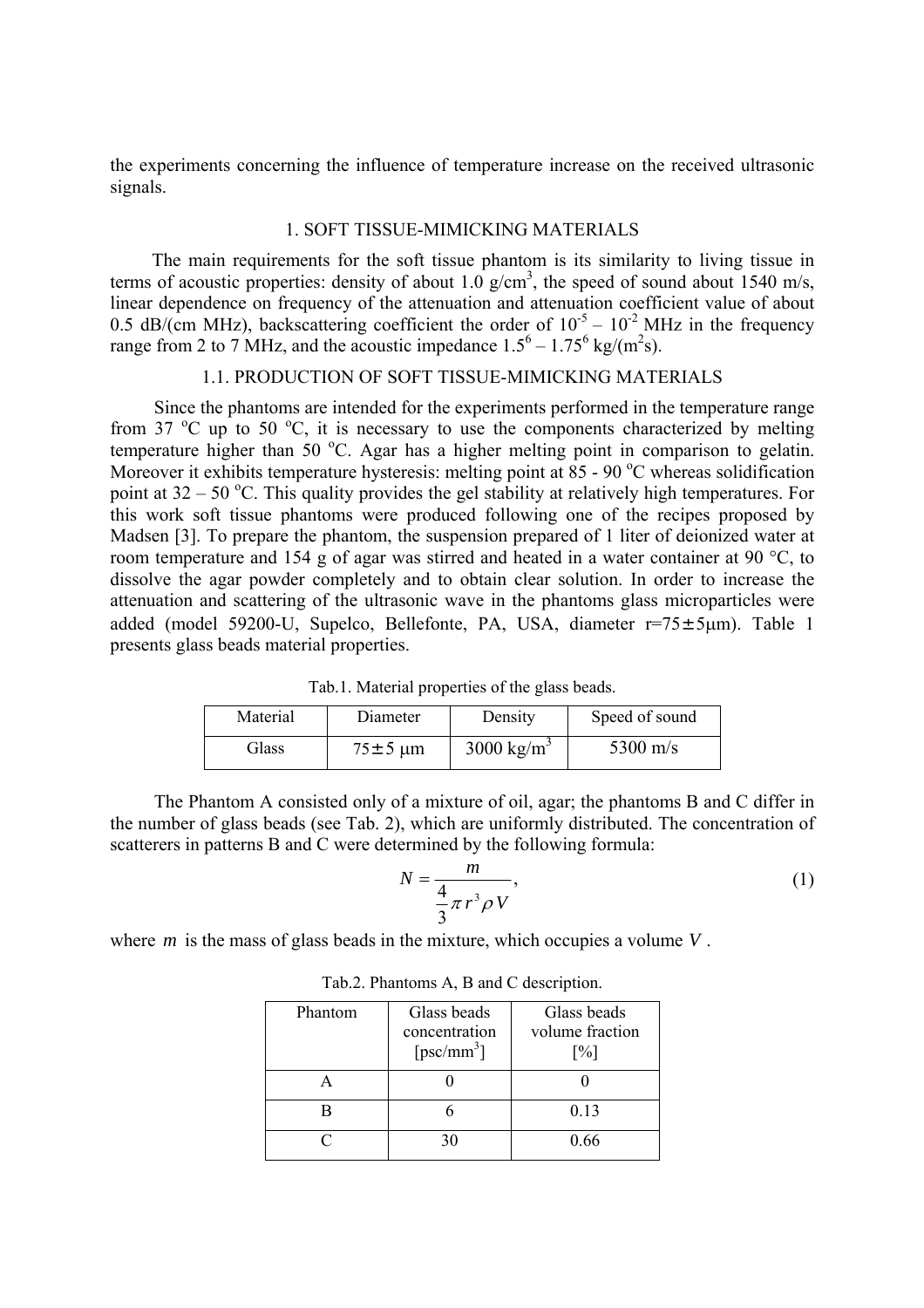the experiments concerning the influence of temperature increase on the received ultrasonic signals.

#### 1. SOFT TISSUE-MIMICKING MATERIALS

 The main requirements for the soft tissue phantom is its similarity to living tissue in terms of acoustic properties: density of about  $1.0 \text{ g/cm}^3$ , the speed of sound about  $1540 \text{ m/s}$ , linear dependence on frequency of the attenuation and attenuation coefficient value of about 0.5 dB/(cm MHz), backscattering coefficient the order of  $10^{-5} - 10^{-2}$  MHz in the frequency range from 2 to 7 MHz, and the acoustic impedance  $1.5^6 - 1.75^6$  kg/(m<sup>2</sup>s).

### 1.1. PRODUCTION OF SOFT TISSUE-MIMICKING MATERIALS

Since the phantoms are intended for the experiments performed in the temperature range from 37  $^{\circ}$ C up to 50  $^{\circ}$ C, it is necessary to use the components characterized by melting temperature higher than 50  $^{\circ}$ C. Agar has a higher melting point in comparison to gelatin. Moreover it exhibits temperature hysteresis: melting point at  $85$  - 90 °C whereas solidification point at  $32 - 50$  °C. This quality provides the gel stability at relatively high temperatures. For this work soft tissue phantoms were produced following one of the recipes proposed by Madsen [3]. To prepare the phantom, the suspension prepared of 1 liter of deionized water at room temperature and 154 g of agar was stirred and heated in a water container at 90 °C, to dissolve the agar powder completely and to obtain clear solution. In order to increase the attenuation and scattering of the ultrasonic wave in the phantoms glass microparticles were added (model 59200-U, Supelco, Bellefonte, PA, USA, diameter r=75±5μm). Table 1 presents glass beads material properties.

Tab.1. Material properties of the glass beads.

| Material | Diameter                       | Density                | Speed of sound |
|----------|--------------------------------|------------------------|----------------|
| Glass    | $75 \pm 5 \text{ }\mu\text{m}$ | 3000 kg/m <sup>3</sup> | 5300 m/s       |

The Phantom A consisted only of a mixture of oil, agar; the phantoms B and C differ in the number of glass beads (see Tab. 2), which are uniformly distributed. The concentration of scatterers in patterns B and C were determined by the following formula:

$$
N = \frac{m}{\frac{4}{3}\pi r^3 \rho V},\tag{1}
$$

where *m* is the mass of glass beads in the mixture, which occupies a volume *V*.

| Phantom | Glass beads<br>concentration<br>$[$ psc/mm <sup>3</sup> $]$ | Glass beads<br>volume fraction<br>$\lceil \% \rceil$ |
|---------|-------------------------------------------------------------|------------------------------------------------------|
|         |                                                             |                                                      |
|         |                                                             | 0.13                                                 |
| ∩       | 30                                                          | በ 66                                                 |

Tab.2. Phantoms A, B and C description.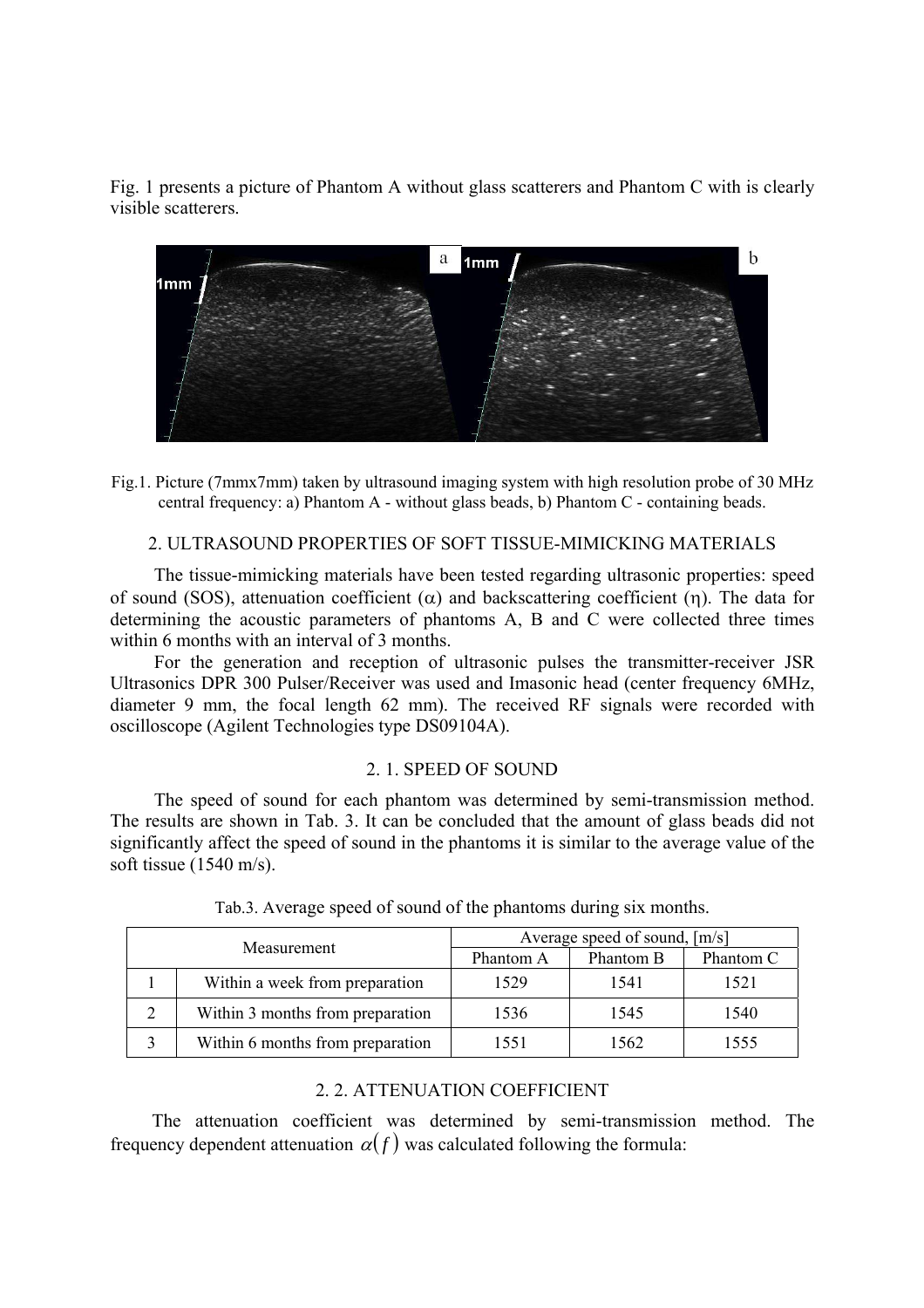Fig. 1 presents a picture of Phantom A without glass scatterers and Phantom C with is clearly visible scatterers.



Fig.1. Picture (7mmx7mm) taken by ultrasound imaging system with high resolution probe of 30 MHz central frequency: a) Phantom A - without glass beads, b) Phantom C - containing beads.

### 2. ULTRASOUND PROPERTIES OF SOFT TISSUE-MIMICKING MATERIALS

The tissue-mimicking materials have been tested regarding ultrasonic properties: speed of sound (SOS), attenuation coefficient  $(\alpha)$  and backscattering coefficient (η). The data for determining the acoustic parameters of phantoms A, B and C were collected three times within 6 months with an interval of 3 months.

For the generation and reception of ultrasonic pulses the transmitter-receiver JSR Ultrasonics DPR 300 Pulser/Receiver was used and Imasonic head (center frequency 6MHz, diameter 9 mm, the focal length 62 mm). The received RF signals were recorded with oscilloscope (Agilent Technologies type DS09104A).

#### 2. 1. SPEED OF SOUND

The speed of sound for each phantom was determined by semi-transmission method. The results are shown in Tab. 3. It can be concluded that the amount of glass beads did not significantly affect the speed of sound in the phantoms it is similar to the average value of the soft tissue (1540 m/s).

| Measurement |                                  | Average speed of sound, [m/s] |           |           |
|-------------|----------------------------------|-------------------------------|-----------|-----------|
|             |                                  | Phantom A                     | Phantom B | Phantom C |
|             | Within a week from preparation   | 1529                          | 1541      | 1521      |
| າ           | Within 3 months from preparation | 1536                          | 1545      | 1540      |
|             | Within 6 months from preparation | 1551                          | 1562      | 1555      |

Tab.3. Average speed of sound of the phantoms during six months.

### 2. 2. ATTENUATION COEFFICIENT

The attenuation coefficient was determined by semi-transmission method. The frequency dependent attenuation  $\alpha(f)$  was calculated following the formula: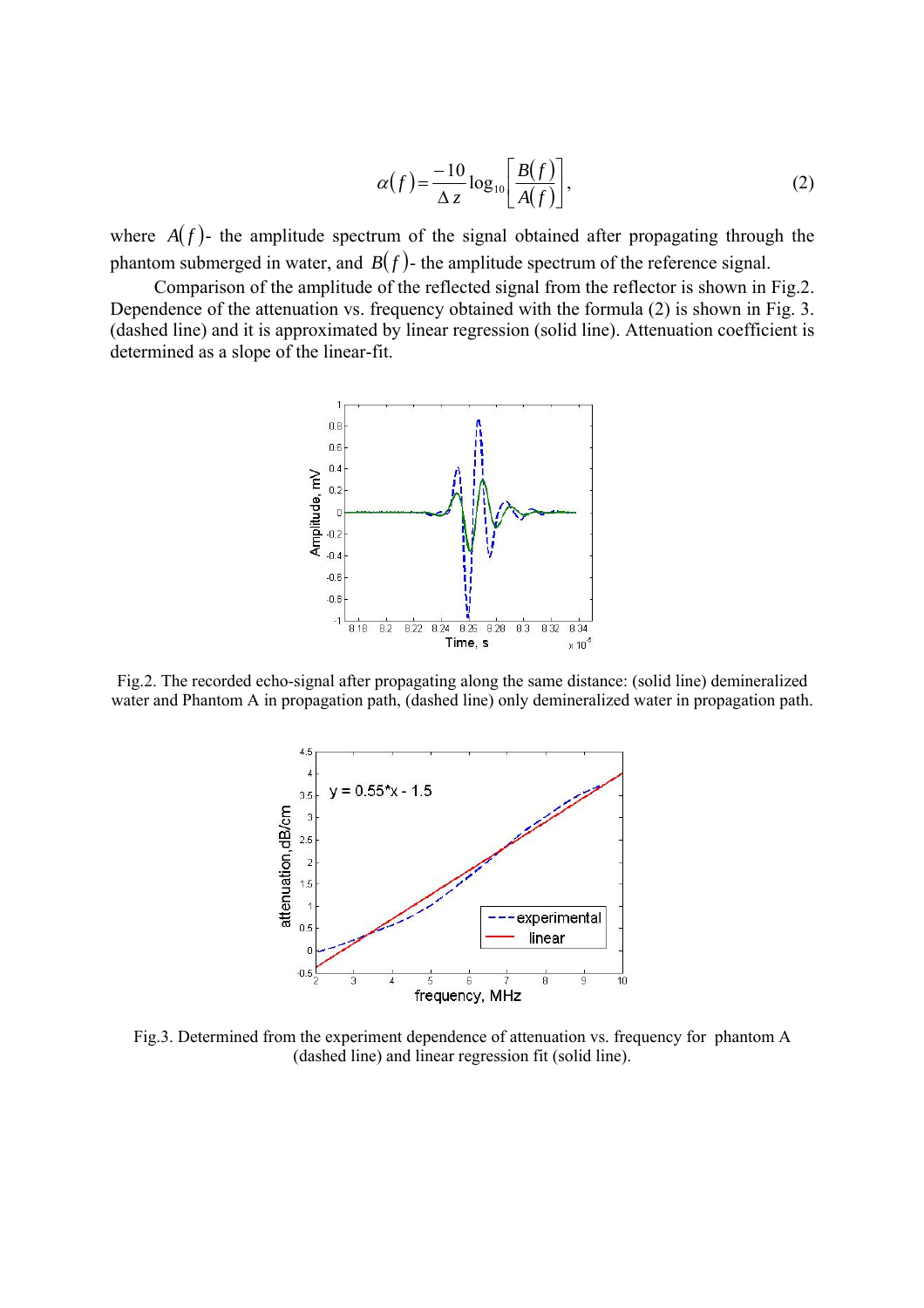$$
\alpha(f) = \frac{-10}{\Delta z} \log_{10} \left[ \frac{B(f)}{A(f)} \right],\tag{2}
$$

where  $A(f)$ - the amplitude spectrum of the signal obtained after propagating through the phantom submerged in water, and  $B(f)$ - the amplitude spectrum of the reference signal.

Comparison of the amplitude of the reflected signal from the reflector is shown in Fig.2. Dependence of the attenuation vs. frequency obtained with the formula (2) is shown in Fig. 3. (dashed line) and it is approximated by linear regression (solid line). Attenuation coefficient is determined as a slope of the linear-fit.



Fig.2. The recorded echo-signal after propagating along the same distance: (solid line) demineralized water and Phantom A in propagation path, (dashed line) only demineralized water in propagation path.



Fig.3. Determined from the experiment dependence of attenuation vs. frequency for phantom A (dashed line) and linear regression fit (solid line).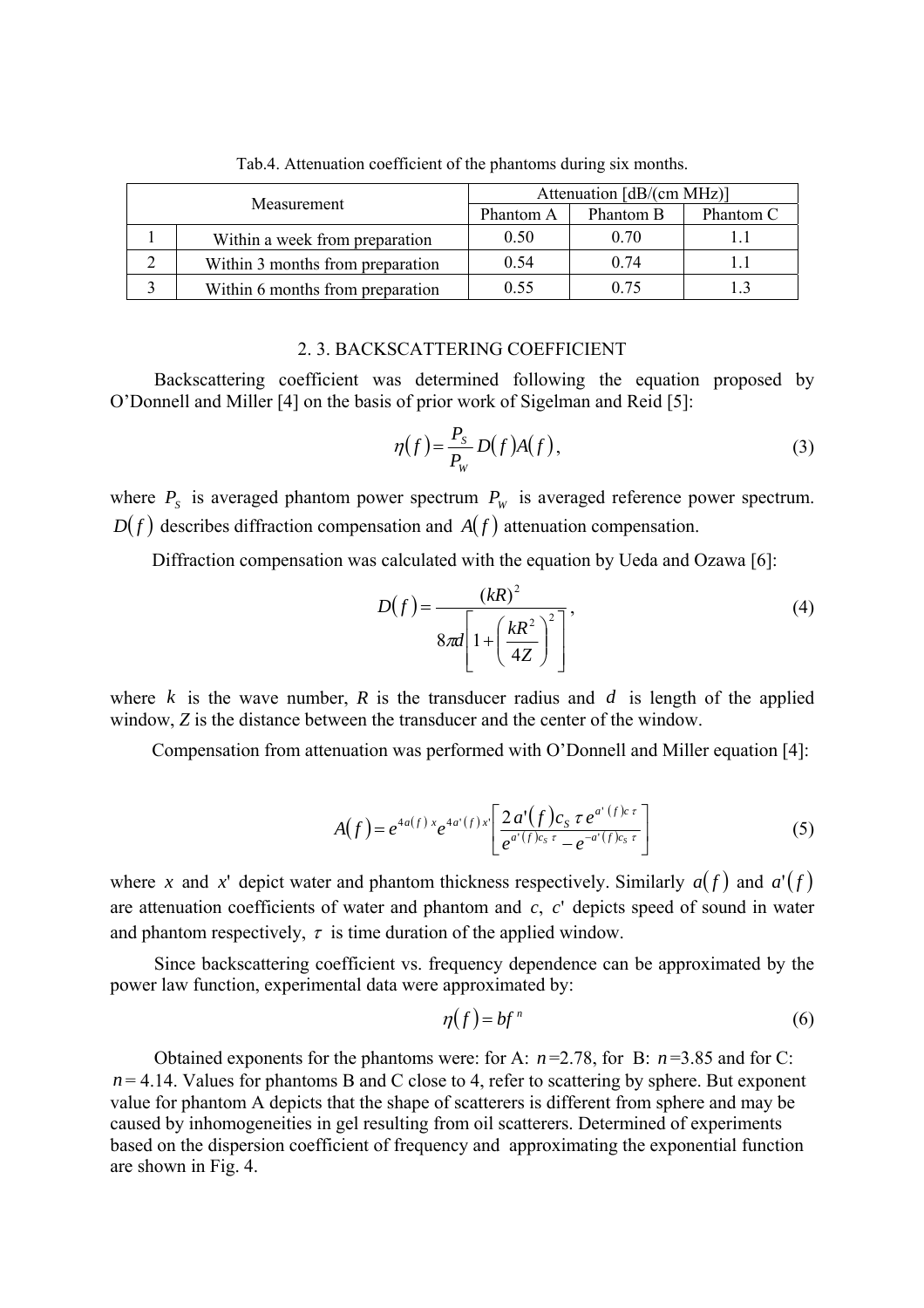| Measurement |                                  | Attenuation $[dB/(cm MHz)]$ |           |           |
|-------------|----------------------------------|-----------------------------|-----------|-----------|
|             |                                  | Phantom A                   | Phantom B | Phantom C |
|             | Within a week from preparation   | 0.50                        | 0.70      |           |
|             | Within 3 months from preparation | 0.54                        | 0.74      |           |
|             | Within 6 months from preparation | 0.55                        | 0.75      |           |

Tab.4. Attenuation coefficient of the phantoms during six months.

### 2. 3. BACKSCATTERING COEFFICIENT

Backscattering coefficient was determined following the equation proposed by O'Donnell and Miller [4] on the basis of prior work of Sigelman and Reid [5]:

$$
\eta(f) = \frac{P_s}{P_W} D(f) A(f),\tag{3}
$$

where  $P_s$  is averaged phantom power spectrum  $P_w$  is averaged reference power spectrum.  $D(f)$  describes diffraction compensation and  $A(f)$  attenuation compensation.

Diffraction compensation was calculated with the equation by Ueda and Ozawa [6]:

$$
D(f) = \frac{(kR)^2}{8\pi d \left[1 + \left(\frac{kR^2}{4Z}\right)^2\right]},
$$
\n(4)

where  $k$  is the wave number,  $R$  is the transducer radius and  $d$  is length of the applied window, *Z* is the distance between the transducer and the center of the window.

Compensation from attenuation was performed with O'Donnell and Miller equation [4]:

$$
A(f) = e^{4a(f)x} e^{4a'(f)x'} \left[ \frac{2 a'(f) c_s \tau e^{a'(f)c \tau}}{e^{a'(f)c_s \tau} - e^{-a'(f)c_s \tau}} \right]
$$
(5)

where *x* and *x*' depict water and phantom thickness respectively. Similarly  $a(f)$  and  $a'(f)$ are attenuation coefficients of water and phantom and  $c$ ,  $c<sup>r</sup>$  depicts speed of sound in water and phantom respectively,  $\tau$  is time duration of the applied window.

Since backscattering coefficient vs. frequency dependence can be approximated by the power law function, experimental data were approximated by:

$$
\eta(f) = bf^n \tag{6}
$$

Obtained exponents for the phantoms were: for A: *n* =2.78, for B: *n* =3.85 and for C:  $n = 4.14$ . Values for phantoms B and C close to 4, refer to scattering by sphere. But exponent value for phantom A depicts that the shape of scatterers is different from sphere and may be caused by inhomogeneities in gel resulting from oil scatterers. Determined of experiments based on the dispersion coefficient of frequency and approximating the exponential function are shown in Fig. 4.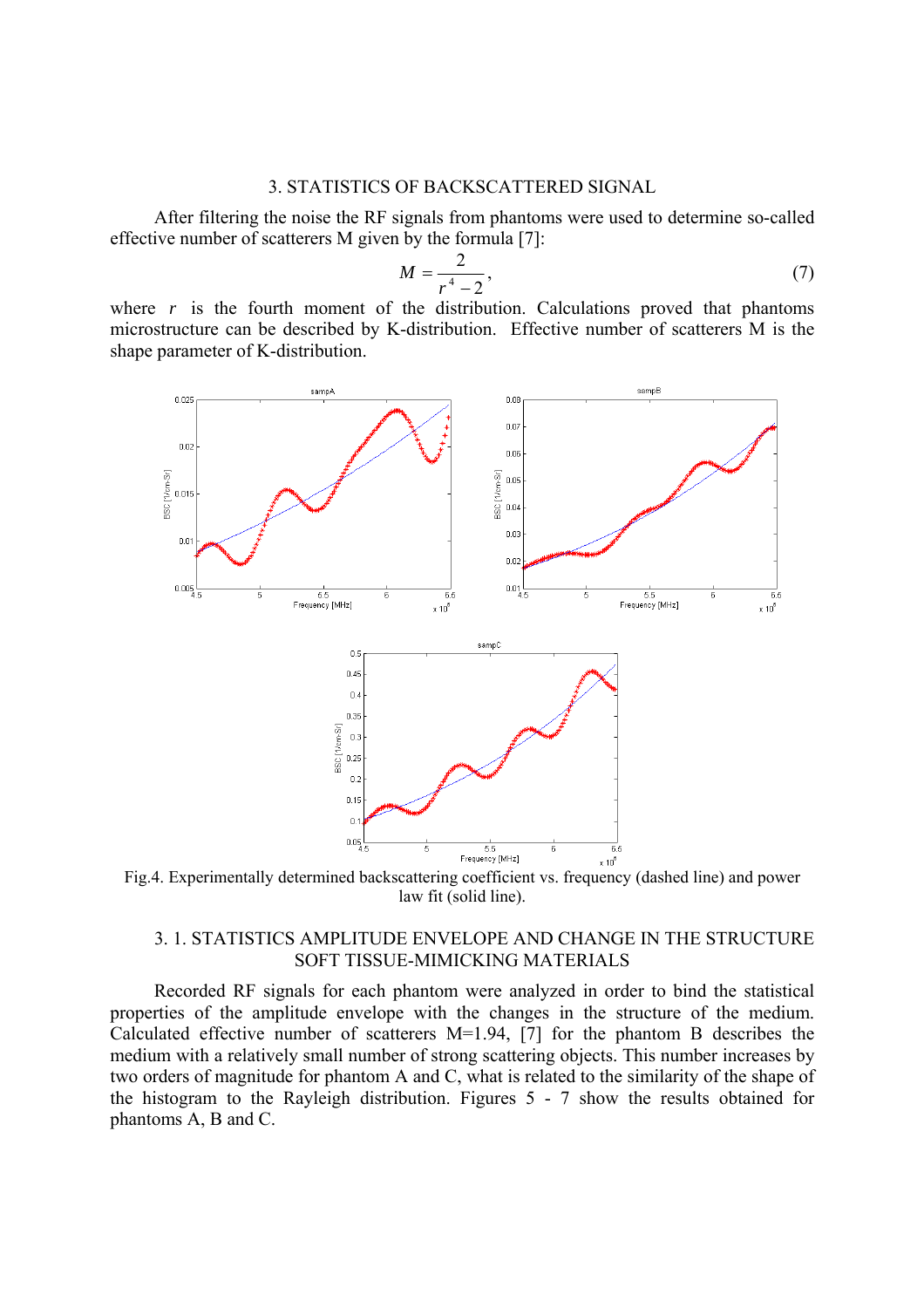### 3. STATISTICS OF BACKSCATTERED SIGNAL

After filtering the noise the RF signals from phantoms were used to determine so-called effective number of scatterers M given by the formula [7]:

$$
M = \frac{2}{r^4 - 2},\tag{7}
$$

where  $r$  is the fourth moment of the distribution. Calculations proved that phantoms microstructure can be described by K-distribution. Effective number of scatterers M is the shape parameter of K-distribution.



Fig.4. Experimentally determined backscattering coefficient vs. frequency (dashed line) and power law fit (solid line).

### 3. 1. STATISTICS AMPLITUDE ENVELOPE AND CHANGE IN THE STRUCTURE SOFT TISSUE-MIMICKING MATERIALS

Recorded RF signals for each phantom were analyzed in order to bind the statistical properties of the amplitude envelope with the changes in the structure of the medium. Calculated effective number of scatterers M=1.94, [7] for the phantom B describes the medium with a relatively small number of strong scattering objects. This number increases by two orders of magnitude for phantom A and C, what is related to the similarity of the shape of the histogram to the Rayleigh distribution. Figures 5 - 7 show the results obtained for phantoms A, B and C.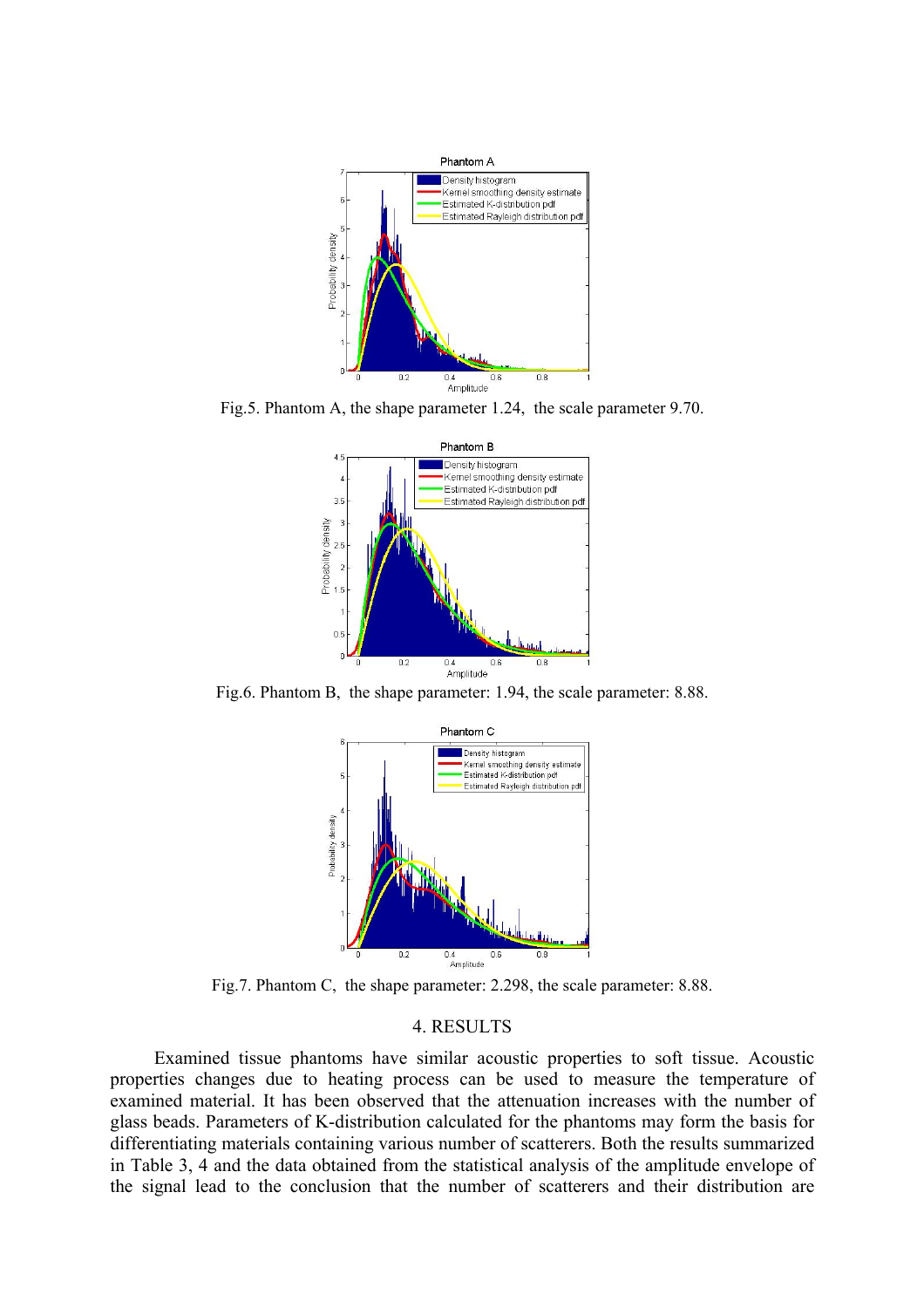

Fig.5. Phantom A, the shape parameter 1.24, the scale parameter 9.70.



Fig.6. Phantom B, the shape parameter: 1.94, the scale parameter: 8.88.



Fig.7. Phantom C, the shape parameter: 2.298, the scale parameter: 8.88.

#### 4. RESULTS

Examined tissue phantoms have similar acoustic properties to soft tissue. Acoustic properties changes due to heating process can be used to measure the temperature of examined material. It has been observed that the attenuation increases with the number of glass beads. Parameters of K-distribution calculated for the phantoms may form the basis for differentiating materials containing various number of scatterers. Both the results summarized in Table 3, 4 and the data obtained from the statistical analysis of the amplitude envelope of the signal lead to the conclusion that the number of scatterers and their distribution are